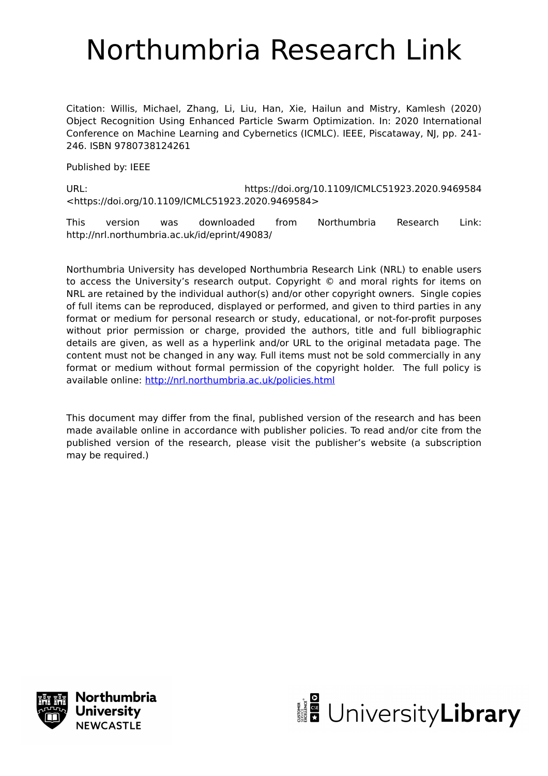# Northumbria Research Link

Citation: Willis, Michael, Zhang, Li, Liu, Han, Xie, Hailun and Mistry, Kamlesh (2020) Object Recognition Using Enhanced Particle Swarm Optimization. In: 2020 International Conference on Machine Learning and Cybernetics (ICMLC). IEEE, Piscataway, NJ, pp. 241- 246. ISBN 9780738124261

Published by: IEEE

URL: https://doi.org/10.1109/ICMLC51923.2020.9469584 <https://doi.org/10.1109/ICMLC51923.2020.9469584>

This version was downloaded from Northumbria Research Link: http://nrl.northumbria.ac.uk/id/eprint/49083/

Northumbria University has developed Northumbria Research Link (NRL) to enable users to access the University's research output. Copyright © and moral rights for items on NRL are retained by the individual author(s) and/or other copyright owners. Single copies of full items can be reproduced, displayed or performed, and given to third parties in any format or medium for personal research or study, educational, or not-for-profit purposes without prior permission or charge, provided the authors, title and full bibliographic details are given, as well as a hyperlink and/or URL to the original metadata page. The content must not be changed in any way. Full items must not be sold commercially in any format or medium without formal permission of the copyright holder. The full policy is available online:<http://nrl.northumbria.ac.uk/policies.html>

This document may differ from the final, published version of the research and has been made available online in accordance with publisher policies. To read and/or cite from the published version of the research, please visit the publisher's website (a subscription may be required.)



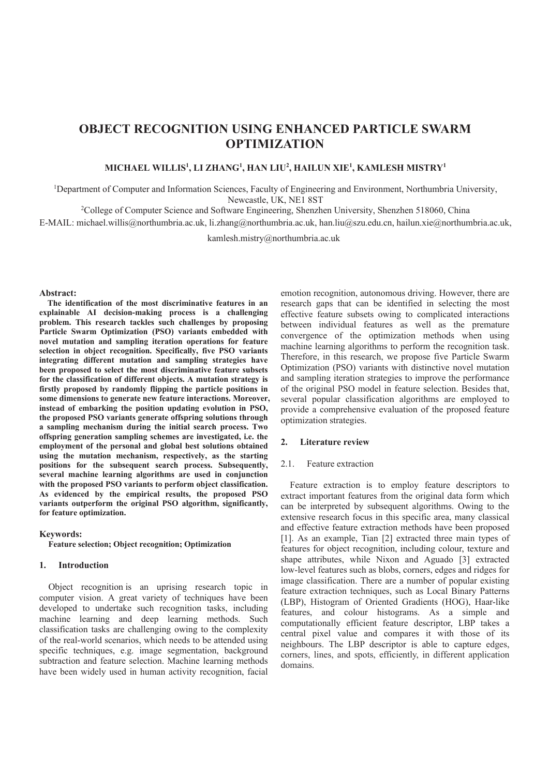## **OBJECT RECOGNITION USING ENHANCED PARTICLE SWARM OPTIMIZATION**

#### $\blacksquare$   $\blacksquare$   $\blacksquare$   $\blacksquare$   $\blacksquare$   $\blacksquare$   $\blacksquare$   $\blacksquare$   $\blacksquare$   $\blacksquare$   $\blacksquare$   $\blacksquare$   $\blacksquare$   $\blacksquare$   $\blacksquare$   $\blacksquare$   $\blacksquare$   $\blacksquare$   $\blacksquare$   $\blacksquare$   $\blacksquare$   $\blacksquare$   $\blacksquare$   $\blacksquare$   $\blacksquare$   $\blacksquare$   $\blacksquare$   $\blacksquare$   $\blacksquare$   $\blacksquare$   $\blacksquare$   $\blacksquare$

<sup>1</sup>Department of Computer and Information Sciences, Faculty of Engineering and Environment, Northumbria University, Newcastle, UK, NE1 8ST

<sup>2</sup>College of Computer Science and Software Engineering, Shenzhen University, Shenzhen 518060, China

E-MAIL: michael.willis@northumbria.ac.uk, li.zhang@northumbria.ac.uk, han.liu@szu.edu.cn, hailun.xie@northumbria.ac.uk,

kamlesh.mistry@northumbria.ac.uk

Abstract:

The identification of the most discriminative features in an explainable AI decision-making process is a challenging problem. This research tackles such challenges by proposing Particle Swarm Optimization (PSO) variants embedded with novel mutation and sampling iteration operations for feature selection in object recognition. Specifically, five PSO variants integrating different mutation and sampling strategies have **been proposed to select the most discriminative feature subsets** for the classification of different objects. A mutation strategy is firstly proposed by randomly flipping the particle positions in some dimensions to generate new feature interactions. Moreover, instead of embarking the position updating evolution in PSO, the proposed PSO variants generate offspring solutions through a sampling mechanism during the initial search process. Two offspring generation sampling schemes are investigated, i.e. the employment of the personal and global best solutions obtained using the mutation mechanism, respectively, as the starting positions for the subsequent search process. Subsequently, several machine learning algorithms are used in conjunction with the proposed PSO variants to perform object classification. As evidenced by the empirical results, the proposed PSO variants outperform the original PSO algorithm, significantly, for feature optimization.

**Keywords:** 

**Feature selection: Obiect recognition: Optimization** 

#### 1. Introduction

Object recognition is an uprising research topic in computer vision. A great variety of techniques have been developed to undertake such recognition tasks, including machine learning and deep learning methods. Such classification tasks are challenging owing to the complexity of the real-world scenarios, which needs to be attended using specific techniques, e.g. image segmentation, background subtraction and feature selection. Machine learning methods have been widely used in human activity recognition, facial

emotion recognition, autonomous driving. However, there are research gaps that can be identified in selecting the most effective feature subsets owing to complicated interactions between individual features as well as the premature convergence of the optimization methods when using machine learning algorithms to perform the recognition task. Therefore, in this research, we propose five Particle Swarm Optimization (PSO) variants with distinctive novel mutation and sampling iteration strategies to improve the performance of the original PSO model in feature selection. Besides that, several popular classification algorithms are employed to provide a comprehensive evaluation of the proposed feature optimization strategies.

#### 2. Literature review

#### $2.1.$ Feature extraction

Feature extraction is to employ feature descriptors to extract important features from the original data form which can be interpreted by subsequent algorithms. Owing to the extensive research focus in this specific area, many classical and effective feature extraction methods have been proposed [1]. As an example, Tian [2] extracted three main types of features for object recognition, including colour, texture and shape attributes, while Nixon and Aguado [3] extracted low-level features such as blobs, corners, edges and ridges for image classification. There are a number of popular existing feature extraction techniques, such as Local Binary Patterns (LBP), Histogram of Oriented Gradients (HOG), Haar-like features, and colour histograms. As a simple and computationally efficient feature descriptor, LBP takes a central pixel value and compares it with those of its neighbours. The LBP descriptor is able to capture edges, corners, lines, and spots, efficiently, in different application domains.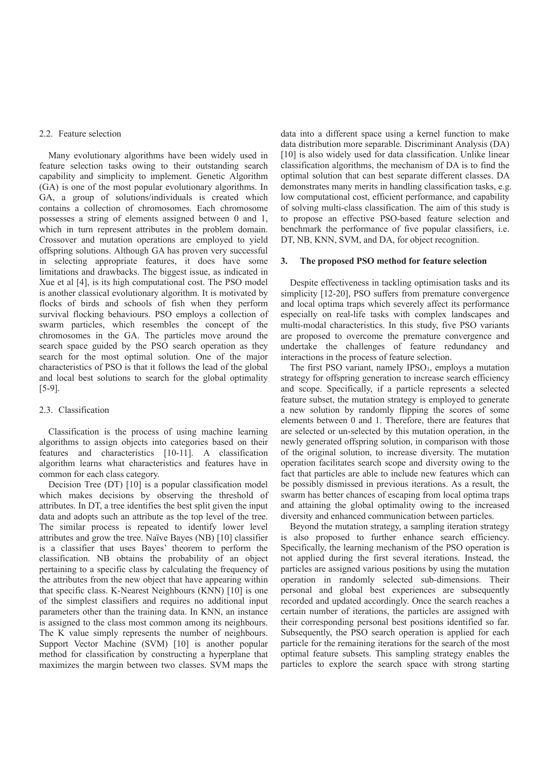#### 2.2. Feature selection

Many evolutionary algorithms have been widely used in feature selection tasks owing to their outstanding search capability and simplicity to implement. Genetic Algorithm (GA) is one of the most popular evolutionary algorithms. In GA, a group of solutions/individuals is created which contains a collection of chromosomes. Each chromosome possesses a string of elements assigned between  $0$  and  $1$ , which in turn represent attributes in the problem domain. Crossover and mutation operations are employed to yield offspring solutions. Although GA has proven very successful in selecting appropriate features, it does have some limitations and drawbacks. The biggest issue, as indicated in Xue et al [4], is its high computational cost. The PSO model is another classical evolutionary algorithm. It is motivated by flocks of birds and schools of fish when they perform survival flocking behaviours. PSO employs a collection of swarm particles, which resembles the concept of the chromosomes in the GA. The particles move around the search space guided by the PSO search operation as they search for the most optimal solution. One of the major characteristics of PSO is that it follows the lead of the global and local best solutions to search for the global optimality  $[5-9]$ .

#### 2.3. Classification

Classification is the process of using machine learning algorithms to assign objects into categories based on their features and characteristics [10-11]. A classification algorithm learns what characteristics and features have in common for each class category.

Decision Tree (DT) [10] is a popular classification model which makes decisions by observing the threshold of attributes. In DT, a tree identifies the best split given the input data and adopts such an attribute as the top level of the tree. The similar process is repeated to identify lower level attributes and grow the tree. Naïve Bayes (NB) [10] classifier is a classifier that uses Bayes' theorem to perform the classification. NB obtains the probability of an object pertaining to a specific class by calculating the frequency of the attributes from the new object that have appearing within that specific class. K-Nearest Neighbours (KNN) [10] is one of the simplest classifiers and requires no additional input parameters other than the training data. In KNN, an instance is assigned to the class most common among its neighbours. The K value simply represents the number of neighbours. Support Vector Machine (SVM) [10] is another popular method for classification by constructing a hyperplane that maximizes the margin between two classes. SVM maps the

data into a different space using a kernel function to make data distribution more separable. Discriminant Analysis (DA) [10] is also widely used for data classification. Unlike linear classification algorithms, the mechanism of DA is to find the optimal solution that can best separate different classes. DA demonstrates many merits in handling classification tasks, e.g. low computational cost, efficient performance, and capability of solving multi-class classification. The aim of this study is to propose an effective PSO-based feature selection and benchmark the performance of five popular classifiers, i.e. DT, NB, KNN, SVM, and DA, for object recognition.

#### **3.** The proposed PSO method for feature selection

Despite effectiveness in tackling optimisation tasks and its simplicity [12-20], PSO suffers from premature convergence and local optima traps which severely affect its performance especially on real-life tasks with complex landscapes and multi-modal characteristics. In this study, five PSO variants are proposed to overcome the premature convergence and undertake the challenges of feature redundancy and interactions in the process of feature selection.

The first PSO variant, namely IPSO1, employs a mutation strategy for offspring generation to increase search efficiency and scope. Specifically, if a particle represents a selected feature subset, the mutation strategy is employed to generate a new solution by randomly flipping the scores of some elements between 0 and 1. Therefore, there are features that are selected or un-selected by this mutation operation, in the newly generated offspring solution, in comparison with those of the original solution, to increase diversity. The mutation operation facilitates search scope and diversity owing to the fact that particles are able to include new features which can be possibly dismissed in previous iterations. As a result, the swarm has better chances of escaping from local optima traps and attaining the global optimality owing to the increased diversity and enhanced communication between particles.

Beyond the mutation strategy, a sampling iteration strategy is also proposed to further enhance search efficiency. Specifically, the learning mechanism of the PSO operation is not applied during the first several iterations. Instead, the particles are assigned various positions by using the mutation operation in randomly selected sub-dimensions. Their personal and global best experiences are subsequently recorded and updated accordingly. Once the search reaches a certain number of iterations, the particles are assigned with their corresponding personal best positions identified so far. Subsequently, the PSO search operation is applied for each particle for the remaining iterations for the search of the most optimal feature subsets. This sampling strategy enables the particles to explore the search space with strong starting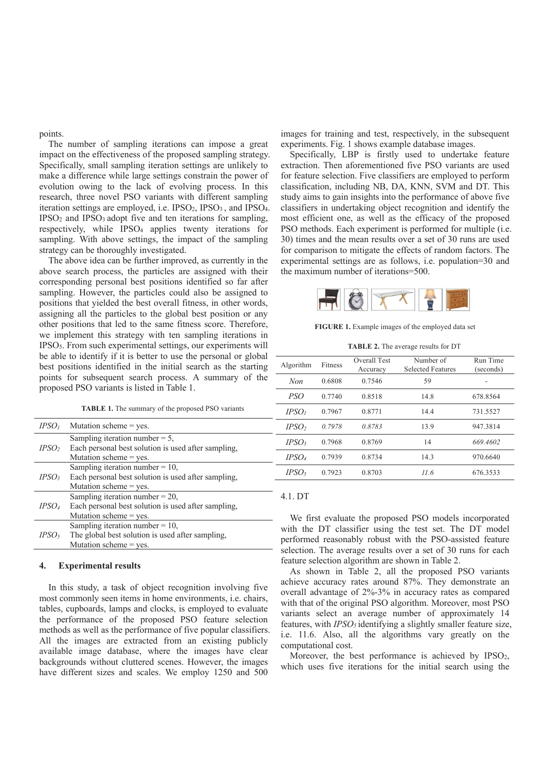points.

*--*

*IPSO*<sub>2</sub>

The number of sampling iterations can impose a great impact on the effectiveness of the proposed sampling strategy. Specifically, small sampling iteration settings are unlikely to make a difference while large settings constrain the power of evolution owing to the lack of evolving process. In this research, three novel PSO variants with different sampling iteration settings are employed, i.e. IPSO<sub>2</sub>, IPSO<sub>3</sub>, and IPSO<sub>4</sub>.  $IPSO<sub>2</sub>$  and  $IPSO<sub>3</sub>$  adopt five and ten iterations for sampling, respectively, while IPSO<sub>4</sub> applies twenty iterations for sampling. With above settings, the impact of the sampling strategy can be thoroughly investigated.

The above idea can be further improved, as currently in the above search process, the particles are assigned with their corresponding personal best positions identified so far after sampling. However, the particles could also be assigned to positions that yielded the best overall fitness, in other words, assigning all the particles to the global best position or any other positions that led to the same fitness score. Therefore, we implement this strategy with ten sampling iterations in IPSO<sub>5</sub>. From such experimental settings, our experiments will be able to identify if it is better to use the personal or global best positions identified in the initial search as the starting points for subsequent search process. A summary of the proposed PSO variants is listed in Table 1.

|  |  | <b>TABLE 1.</b> The summary of the proposed PSO variants |  |
|--|--|----------------------------------------------------------|--|
|--|--|----------------------------------------------------------|--|

Each personal best solution is used after sampling,

images for training and test, respectively, in the subsequent experiments. Fig. 1 shows example database images.

Specifically, LBP is firstly used to undertake feature extraction. Then aforementioned five PSO variants are used for feature selection. Five classifiers are employed to perform classification, including NB, DA, KNN, SVM and DT. This study aims to gain insights into the performance of above five classifiers in undertaking object recognition and identify the most efficient one, as well as the efficacy of the proposed PSO methods. Each experiment is performed for multiple (i.e. 30) times and the mean results over a set of 30 runs are used for comparison to mitigate the effects of random factors. The experimental settings are as follows, i.e. population= $30$  and the maximum number of iterations=500.



FIGURE 1. Example images of the employed data set

**TABLE 2.** The average results for DT

| Algorithm         | Fitness | Overall Test<br>Accuracy | Number of<br><b>Selected Features</b> | Run Time<br>(seconds) |
|-------------------|---------|--------------------------|---------------------------------------|-----------------------|
| Non               | 0.6808  | 0.7546                   | 59                                    |                       |
| PSO <sup>-</sup>  | 0.7740  | 0.8518                   | 14.8                                  | 678.8564              |
| IPSO <sub>1</sub> | 0.7967  | 0.8771                   | 14.4                                  | 731.5527              |
| IPSO <sub>2</sub> | 0.7978  | 0.8783                   | 13.9                                  | 947.3814              |
| IPSO <sub>3</sub> | 0.7968  | 0.8769                   | 14                                    | 669.4602              |
| IPSO <sub>4</sub> | 0.7939  | 0.8734                   | 14.3                                  | 970.6640              |
| IPSO <sub>5</sub> | 0.7923  | 0.8703                   | 11.6                                  | 676.3533              |

#### *-* Sampling iteration number  $= 10$ , Each personal best solution is used after sampling, Mutation scheme  $=$  yes. *-* Sampling iteration number  $= 20$ , Each personal best solution is used after sampling, Mutation scheme  $=$  yes. *-* Sampling iteration number  $= 10$ , The global best solution is used after sampling, Mutation scheme  $=$  yes.

#### 4. Experimental results

Mutation scheme = yes.

Mutation scheme  $=$  yes.

Sampling iteration number  $=$  5,

In this study, a task of object recognition involving five most commonly seen items in home environments, i.e. chairs, tables, cupboards, lamps and clocks, is employed to evaluate the performance of the proposed PSO feature selection methods as well as the performance of five popular classifiers. All the images are extracted from an existing publicly available image database, where the images have clear backgrounds without cluttered scenes. However, the images have different sizes and scales. We employ 1250 and 500

#### 4.1. DT

We first evaluate the proposed PSO models incorporated with the DT classifier using the test set. The DT model performed reasonably robust with the PSO-assisted feature selection. The average results over a set of 30 runs for each feature selection algorithm are shown in Table 2.

As shown in Table 2, all the proposed PSO variants achieve accuracy rates around 87%. They demonstrate an overall advantage of 2%-3% in accuracy rates as compared with that of the original PSO algorithm. Moreover, most PSO variants select an average number of approximately 14 features, with *IPSO<sub>5</sub>* identifying a slightly smaller feature size, i.e. 11.6. Also, all the algorithms vary greatly on the computational cost.

Moreover, the best performance is achieved by  $\text{IPSO}_2$ , which uses five iterations for the initial search using the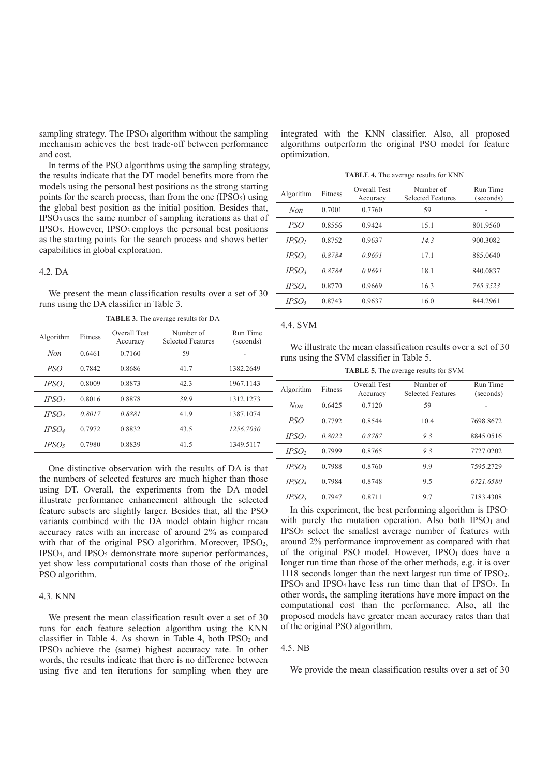sampling strategy. The IPSO<sub>1</sub> algorithm without the sampling mechanism achieves the best trade-off between performance and cost.

In terms of the PSO algorithms using the sampling strategy, the results indicate that the DT model benefits more from the models using the personal best positions as the strong starting points for the search process, than from the one  $(IPSO<sub>5</sub>)$  using the global best position as the initial position. Besides that,  $IPSO<sub>3</sub>$  uses the same number of sampling iterations as that of  $IPSO<sub>5</sub>$ . However,  $IPSO<sub>3</sub>$  employs the personal best positions as the starting points for the search process and shows better capabilities in global exploration.

#### $4.2.<sub>DA</sub>$

We present the mean classification results over a set of 30 runs using the DA classifier in Table 3.

| Algorithm         | Fitness | Overall Test<br>Accuracy | Number of<br>Selected Features | Run Time<br>(seconds) |
|-------------------|---------|--------------------------|--------------------------------|-----------------------|
| Non               | 0.6461  | 0.7160                   | 59                             |                       |
| PSO <sup>-</sup>  | 0.7842  | 0.8686                   | 41.7                           | 1382.2649             |
| IPSO <sub>1</sub> | 0.8009  | 0.8873                   | 42.3                           | 1967.1143             |
| IPSO <sub>2</sub> | 0.8016  | 0.8878                   | 39.9                           | 1312.1273             |
| IPSO <sub>3</sub> | 0.8017  | 0.8881                   | 41.9                           | 1387.1074             |
| IPSO <sub>4</sub> | 0.7972  | 0.8832                   | 43.5                           | 1256.7030             |
| IPSO5             | 0.7980  | 0.8839                   | 41.5                           | 1349.5117             |

**TABLE 3.** The average results for DA

One distinctive observation with the results of DA is that the numbers of selected features are much higher than those using DT. Overall, the experiments from the DA model illustrate performance enhancement although the selected feature subsets are slightly larger. Besides that, all the PSO variants combined with the DA model obtain higher mean accuracy rates with an increase of around 2% as compared with that of the original PSO algorithm. Moreover, IPSO<sub>2</sub>,  $IPSO<sub>4</sub>$ , and  $IPSO<sub>5</sub>$  demonstrate more superior performances. vet show less computational costs than those of the original PSO algorithm.

#### 4.3. KNN

We present the mean classification result over a set of 30 runs for each feature selection algorithm using the KNN classifier in Table 4. As shown in Table 4, both  $IPSO<sub>2</sub>$  and  $IPSO<sub>3</sub>$  achieve the (same) highest accuracy rate. In other words, the results indicate that there is no difference between using five and ten iterations for sampling when they are integrated with the KNN classifier. Also, all proposed algorithms outperform the original PSO model for feature optimization.

**TABLE 4.** The average results for KNN

| Algorithm         | Fitness | Overall Test<br>Accuracy | Number of<br><b>Selected Features</b> | Run Time<br>(seconds) |  |
|-------------------|---------|--------------------------|---------------------------------------|-----------------------|--|
| Non               | 0.7001  | 0.7760                   | 59                                    |                       |  |
| PSO <sup></sup>   | 0.8556  | 0.9424                   | 15.1                                  | 801.9560              |  |
| IPSO <sub>1</sub> | 0.8752  | 0.9637                   | 14.3                                  | 900.3082              |  |
| IPSO <sub>2</sub> | 0.8784  | 0.9691                   | 17.1                                  | 885,0640              |  |
| IPSO <sub>3</sub> | 0.8784  | 0.9691                   | 18.1                                  | 840.0837              |  |
| IPSO <sub>4</sub> | 0.8770  | 0.9669                   | 16.3                                  | 765.3523              |  |
| IPSO <sub>5</sub> | 0.8743  | 0.9637                   | 16.0                                  | 844.2961              |  |

#### 4.4. SVM

We illustrate the mean classification results over a set of 30 runs using the SVM classifier in Table 5.

**TABLE 5.** The average results for SVM

| Algorithm         | Fitness | Overall Test<br>Accuracy | Number of<br><b>Selected Features</b> | Run Time<br>(seconds) |
|-------------------|---------|--------------------------|---------------------------------------|-----------------------|
| Non               | 0.6425  | 0.7120                   | 59                                    |                       |
| PSO <sup>-</sup>  | 0.7792  | 0.8544                   | 10.4                                  | 7698.8672             |
| IPSO <sub>1</sub> | 0.8022  | 0.8787                   | 9.3                                   | 8845.0516             |
| IPSO <sub>2</sub> | 0.7999  | 0.8765                   | 9.3                                   | 7727.0202             |
| IPSO <sub>3</sub> | 0.7988  | 0.8760                   | 9.9                                   | 7595.2729             |
| IPSO <sub>4</sub> | 0.7984  | 0.8748                   | 9.5                                   | 6721.6580             |
| $\mathit{IPSO}_5$ | 0.7947  | 0.8711                   | 9.7                                   | 7183.4308             |

In this experiment, the best performing algorithm is  $IPSO<sub>1</sub>$ with purely the mutation operation. Also both IPSO1 and  $IPSO<sub>2</sub>$  select the smallest average number of features with around 2% performance improvement as compared with that of the original PSO model. However, IPSO1 does have a longer run time than those of the other methods, e.g. it is over 1118 seconds longer than the next largest run time of  $IPSO<sub>2</sub>$ .  $IPSO<sub>3</sub>$  and  $IPSO<sub>4</sub>$  have less run time than that of  $IPSO<sub>2</sub>$ . In other words, the sampling iterations have more impact on the computational cost than the performance. Also, all the proposed models have greater mean accuracy rates than that of the original PSO algorithm.

#### 4.5. NB

We provide the mean classification results over a set of 30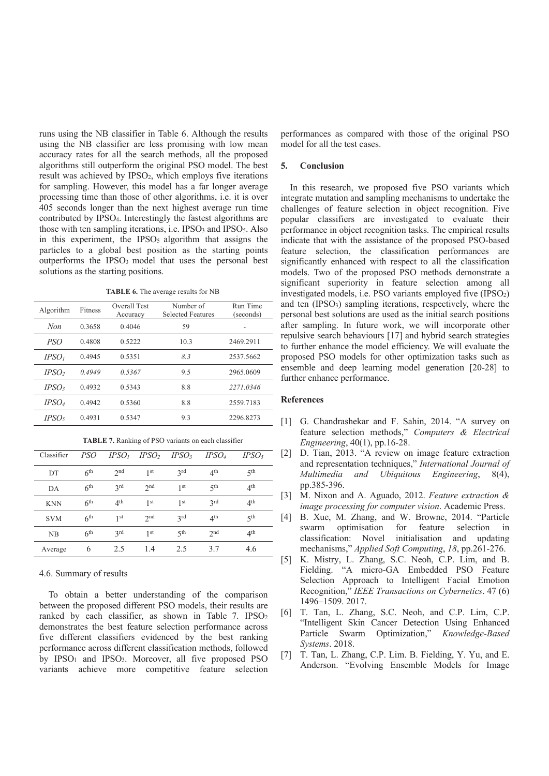runs using the NB classifier in Table 6. Although the results using the NB classifier are less promising with low mean accuracy rates for all the search methods, all the proposed algorithms still outperform the original PSO model. The best result was achieved by IPSO<sub>2</sub>, which employs five iterations for sampling. However, this model has a far longer average processing time than those of other algorithms, i.e. it is over 405 seconds longer than the next highest average run time contributed by IPSO<sub>4</sub>. Interestingly the fastest algorithms are those with ten sampling iterations, i.e.  $IPSO<sub>3</sub>$  and  $IPSO<sub>5</sub>$ . Also in this experiment, the IPSO<sub>5</sub> algorithm that assigns the particles to a global best position as the starting points outperforms the IPSO<sub>3</sub> model that uses the personal best solutions as the starting positions.

**TABLE 6.** The average results for NB

| Algorithm         | Fitness | Overall Test<br>Accuracy | Number of<br><b>Selected Features</b> | Run Time<br>(seconds) |
|-------------------|---------|--------------------------|---------------------------------------|-----------------------|
| Non               | 0.3658  | 0.4046                   | 59                                    |                       |
| PSO <sup>-</sup>  | 0.4808  | 0.5222                   | 10.3                                  | 2469.2911             |
| IPSO <sub>1</sub> | 0.4945  | 0.5351                   | 8.3                                   | 2537.5662             |
| IPSO <sub>2</sub> | 0.4949  | 0.5367                   | 9.5                                   | 2965.0609             |
| IPSO <sub>3</sub> | 0.4932  | 0.5343                   | 8.8                                   | 2271.0346             |
| IPSO <sub>4</sub> | 0.4942  | 0.5360                   | 8.8                                   | 2559.7183             |
| IPSO <sub>5</sub> | 0.4931  | 0.5347                   | 9.3                                   | 2296.8273             |

| TABLE 7. Ranking of PSO variants on each classifier |
|-----------------------------------------------------|
|-----------------------------------------------------|

| Classifier | PSO             | IPSO <sub>1</sub> | IPSO <sub>2</sub> | IPSO <sub>3</sub> | IPSO <sub>4</sub> | IPSO <sub>5</sub> |
|------------|-----------------|-------------------|-------------------|-------------------|-------------------|-------------------|
| DT         | 6 <sup>th</sup> | 2nd               | 1 <sup>st</sup>   | 2rd               | 4 <sup>th</sup>   | $5$ th            |
| DA         | 6 <sup>th</sup> | 2rd               | 2 <sub>nd</sub>   | 1 st              | $5$ th            | 4 <sup>th</sup>   |
| <b>KNN</b> | 6 <sup>th</sup> | 4 <sup>th</sup>   | 1 <sup>st</sup>   | 1 <sup>st</sup>   | 2rd               | 4 <sup>th</sup>   |
| <b>SVM</b> | 6 <sup>th</sup> | 1 <sup>st</sup>   | 2 <sub>nd</sub>   | 2rd               | 4 <sup>th</sup>   | $5$ th            |
| NB         | 6 <sup>th</sup> | 2rd               | 1 <sup>st</sup>   | $5$ th            | 2 <sub>nd</sub>   | 4 <sup>th</sup>   |
| Average    | 6               | 2.5               | 1.4               | 2.5               | 3.7               | 4.6               |

#### 4.6. Summary of results

To obtain a better understanding of the comparison between the proposed different PSO models, their results are ranked by each classifier, as shown in Table 7.  $IPSO<sub>2</sub>$ demonstrates the best feature selection performance across five different classifiers evidenced by the best ranking performance across different classification methods, followed by IPSO<sub>1</sub> and IPSO<sub>3</sub>. Moreover, all five proposed PSO variants achieve more competitive feature selection

performances as compared with those of the original PSO model for all the test cases.

### **5.** Conclusion

In this research, we proposed five PSO variants which integrate mutation and sampling mechanisms to undertake the challenges of feature selection in object recognition. Five popular classifiers are investigated to evaluate their performance in object recognition tasks. The empirical results indicate that with the assistance of the proposed PSO-based feature selection, the classification performances are significantly enhanced with respect to all the classification models. Two of the proposed PSO methods demonstrate a significant superiority in feature selection among all investigated models, i.e. PSO variants employed five  $(IPSO<sub>2</sub>)$ and ten  $(IPSO<sub>3</sub>)$  sampling iterations, respectively, where the personal best solutions are used as the initial search positions after sampling. In future work, we will incorporate other repulsive search behaviours [17] and hybrid search strategies to further enhance the model efficiency. We will evaluate the proposed PSO models for other optimization tasks such as ensemble and deep learning model generation  $[20-28]$  to further enhance performance.

#### $Ref$ erences

- [1] G. Chandrashekar and F. Sahin, 2014. "A survey on feature selection methods," Computers & Electrical *Engineering*, 40(1), pp.16-28.
- [2] D. Tian, 2013. "A review on image feature extraction and representation techniques," International Journal of *Multimedia and Ubiquitous Engineering*, 8(4), pp.385-396.
- [3] M. Nixon and A. Aguado, 2012. Feature extraction & *image processing for computer vision.* Academic Press.
- [4] B. Xue, M. Zhang, and W. Browne, 2014. "Particle swarm optimisation for feature selection in classification: Novel initialisation and updating mechanisms," *Applied Soft Computing*, 18, pp.261-276.
- [5] K. Mistry, L. Zhang, S.C. Neoh, C.P. Lim, and B. Fielding. "A micro-GA Embedded PSO Feature Selection Approach to Intelligent Facial Emotion Recognition," IEEE Transactions on Cybernetics. 47 (6) 1496-1509.2017.
- [6] T. Tan, L. Zhang, S.C. Neoh, and C.P. Lim, C.P. "Intelligent Skin Cancer Detection Using Enhanced Particle Swarm Optimization," Knowledge-Based Systems. 2018.
- [7] T. Tan, L. Zhang, C.P. Lim. B. Fielding, Y. Yu, and E. Anderson. "Evolving Ensemble Models for Image